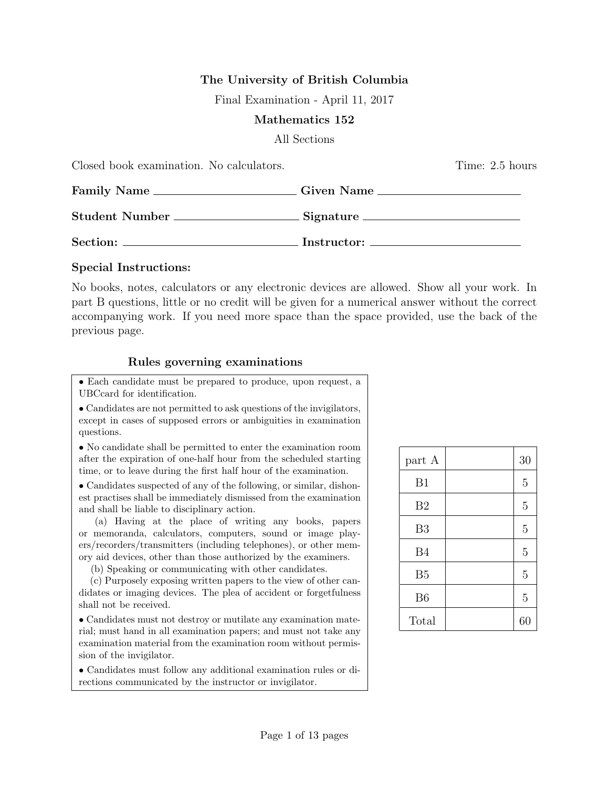## The University of British Columbia

Final Examination - April 11, 2017

#### Mathematics 152

#### All Sections

| Closed book examination. No calculators.                                         | Time: 2.5 hours |  |
|----------------------------------------------------------------------------------|-----------------|--|
| Family Name ________________________Given Name _________________________________ |                 |  |
| Student Number ________________________Signature _______________________________ |                 |  |
|                                                                                  |                 |  |

#### Special Instructions:

No books, notes, calculators or any electronic devices are allowed. Show all your work. In part B questions, little or no credit will be given for a numerical answer without the correct accompanying work. If you need more space than the space provided, use the back of the previous page.

### Rules governing examinations

• Each candidate must be prepared to produce, upon request, a UBCcard for identification.

• Candidates are not permitted to ask questions of the invigilators, except in cases of supposed errors or ambiguities in examination questions.

• No candidate shall be permitted to enter the examination room after the expiration of one-half hour from the scheduled starting time, or to leave during the first half hour of the examination.

• Candidates suspected of any of the following, or similar, dishonest practises shall be immediately dismissed from the examination and shall be liable to disciplinary action.

(a) Having at the place of writing any books, papers or memoranda, calculators, computers, sound or image players/recorders/transmitters (including telephones), or other memory aid devices, other than those authorized by the examiners.

(b) Speaking or communicating with other candidates.

(c) Purposely exposing written papers to the view of other candidates or imaging devices. The plea of accident or forgetfulness shall not be received.

• Candidates must not destroy or mutilate any examination material; must hand in all examination papers; and must not take any examination material from the examination room without permission of the invigilator.

• Candidates must follow any additional examination rules or directions communicated by the instructor or invigilator.

| part A         | 30             |
|----------------|----------------|
| B1             | 5              |
| B <sub>2</sub> | $\overline{5}$ |
| B <sub>3</sub> | $\overline{5}$ |
| <b>B4</b>      | $\overline{5}$ |
| B <sub>5</sub> | $\overline{5}$ |
| B <sub>6</sub> | $\overline{5}$ |
| Total          | 60             |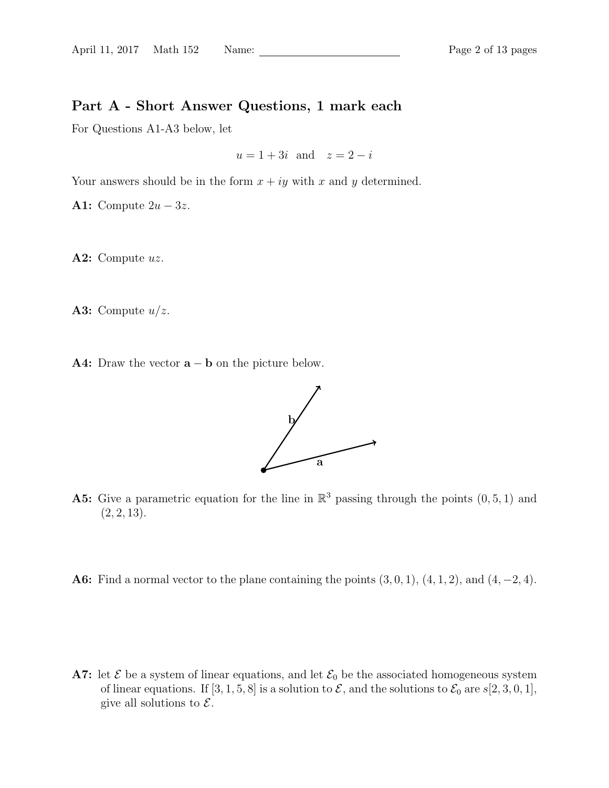# Part A - Short Answer Questions, 1 mark each

For Questions A1-A3 below, let

 $u = 1 + 3i$  and  $z = 2 - i$ 

Your answers should be in the form  $x + iy$  with x and y determined.

A1: Compute  $2u - 3z$ .

A2: Compute  $uz$ .

A3: Compute  $u/z$ .

A4: Draw the vector  $\mathbf{a} - \mathbf{b}$  on the picture below.



- **A5:** Give a parametric equation for the line in  $\mathbb{R}^3$  passing through the points  $(0, 5, 1)$  and  $(2, 2, 13).$
- **A6:** Find a normal vector to the plane containing the points  $(3, 0, 1)$ ,  $(4, 1, 2)$ , and  $(4, -2, 4)$ .

A7: let  $\mathcal E$  be a system of linear equations, and let  $\mathcal E_0$  be the associated homogeneous system of linear equations. If  $[3, 1, 5, 8]$  is a solution to  $\mathcal{E}$ , and the solutions to  $\mathcal{E}_0$  are  $s[2, 3, 0, 1]$ , give all solutions to  $\mathcal{E}.$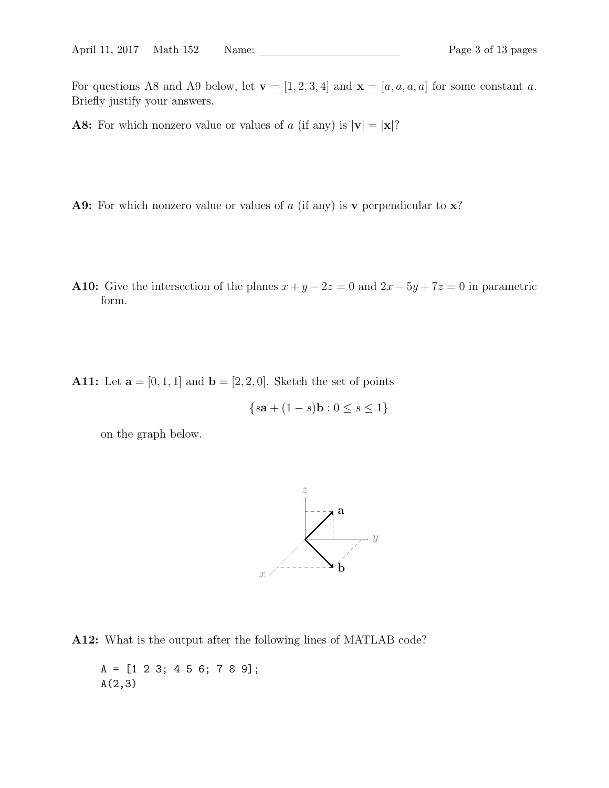For questions A8 and A9 below, let  $\mathbf{v} = [1, 2, 3, 4]$  and  $\mathbf{x} = [a, a, a, a]$  for some constant a. Briefly justify your answers.

**A8:** For which nonzero value or values of a (if any) is  $|v| = |x|$ ?

**A9:** For which nonzero value or values of a (if any) is v perpendicular to  $x$ ?

A10: Give the intersection of the planes  $x + y - 2z = 0$  and  $2x - 5y + 7z = 0$  in parametric form.

A11: Let  $\mathbf{a} = [0, 1, 1]$  and  $\mathbf{b} = [2, 2, 0]$ . Sketch the set of points

$$
\{s\mathbf{a} + (1 - s)\mathbf{b} : 0 \le s \le 1\}
$$

on the graph below.



A12: What is the output after the following lines of MATLAB code?

A = [1 2 3; 4 5 6; 7 8 9]; A(2,3)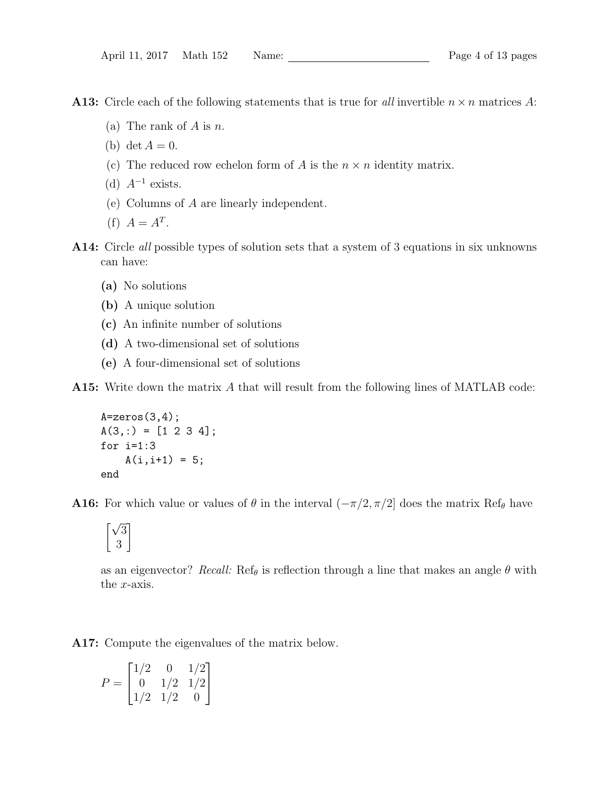**A13:** Circle each of the following statements that is true for all invertible  $n \times n$  matrices A:

- (a) The rank of  $A$  is  $n$ .
- (b) det  $A=0$ .
- (c) The reduced row echelon form of A is the  $n \times n$  identity matrix.
- (d)  $A^{-1}$  exists.
- (e) Columns of A are linearly independent.
- (f)  $A = A^T$ .
- A14: Circle *all* possible types of solution sets that a system of 3 equations in six unknowns can have:
	- (a) No solutions
	- (b) A unique solution
	- (c) An infinite number of solutions
	- (d) A two-dimensional set of solutions
	- (e) A four-dimensional set of solutions

A15: Write down the matrix A that will result from the following lines of MATLAB code:

```
A = zeros(3, 4);
A(3,:) = [1 2 3 4];for i=1:3
    A(i, i+1) = 5;end
```
**A16:** For which value or values of  $\theta$  in the interval  $(-\pi/2, \pi/2]$  does the matrix Ref<sub> $\theta$ </sub> have

$$
\begin{bmatrix}\sqrt{3}\\3\end{bmatrix}
$$

as an eigenvector? Recall: Ref<sub> $\theta$ </sub> is reflection through a line that makes an angle  $\theta$  with the x-axis.

A17: Compute the eigenvalues of the matrix below.

$$
P = \begin{bmatrix} 1/2 & 0 & 1/2 \\ 0 & 1/2 & 1/2 \\ 1/2 & 1/2 & 0 \end{bmatrix}
$$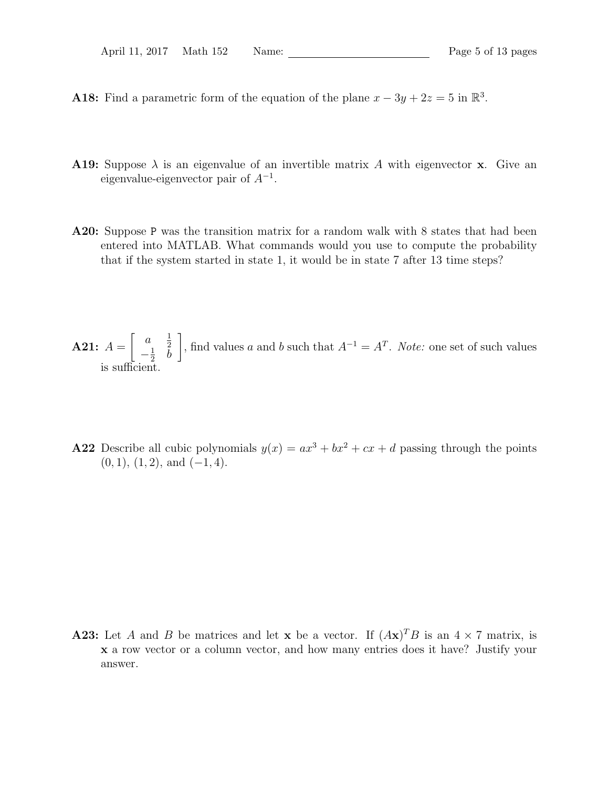- **A18:** Find a parametric form of the equation of the plane  $x 3y + 2z = 5$  in  $\mathbb{R}^3$ .
- **A19:** Suppose  $\lambda$  is an eigenvalue of an invertible matrix A with eigenvector **x**. Give an eigenvalue-eigenvector pair of  $A^{-1}$ .
- A20: Suppose P was the transition matrix for a random walk with 8 states that had been entered into MATLAB. What commands would you use to compute the probability that if the system started in state 1, it would be in state 7 after 13 time steps?

**A21:** 
$$
A = \begin{bmatrix} a & \frac{1}{2} \\ -\frac{1}{2} & b \end{bmatrix}
$$
, find values *a* and *b* such that  $A^{-1} = A^{T}$ . *Note:* one set of such values is sufficient.

A22 Describe all cubic polynomials  $y(x) = ax^3 + bx^2 + cx + d$  passing through the points  $(0, 1), (1, 2), \text{ and } (-1, 4).$ 

**A23:** Let A and B be matrices and let **x** be a vector. If  $(Ax)^T B$  is an  $4 \times 7$  matrix, is x a row vector or a column vector, and how many entries does it have? Justify your answer.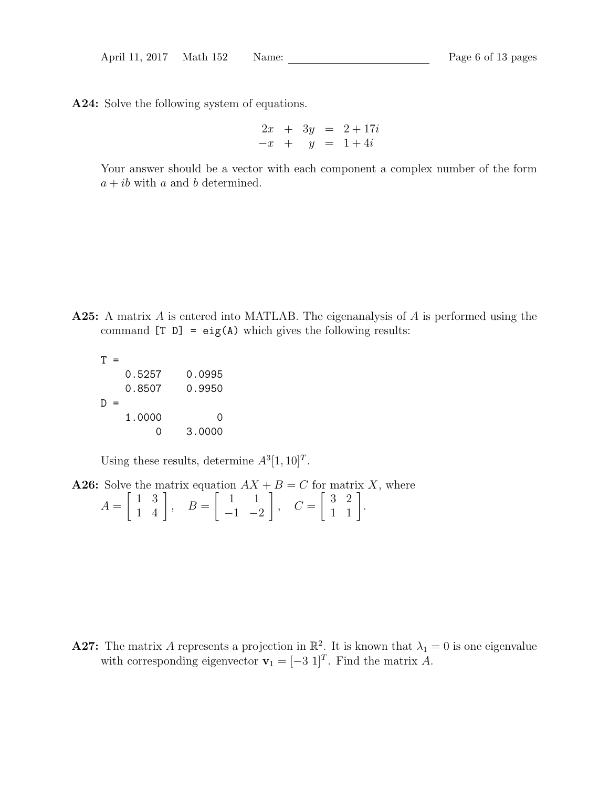A24: Solve the following system of equations.

$$
\begin{array}{rcl}\n2x & + & 3y & = & 2 + 17i \\
-x & + & y & = & 1 + 4i\n\end{array}
$$

Your answer should be a vector with each component a complex number of the form  $a + ib$  with a and b determined.

- A25: A matrix A is entered into MATLAB. The eigenanalysis of A is performed using the command  $[T D] = eig(A)$  which gives the following results:
	- $T =$ 0.5257 0.0995 0.8507 0.9950  $D =$ 1.0000 0 0 3.0000

Using these results, determine  $A^3[1, 10]^T$ .

**A26:** Solve the matrix equation 
$$
AX + B = C
$$
 for matrix X, where  $A = \begin{bmatrix} 1 & 3 \\ 1 & 4 \end{bmatrix}$ ,  $B = \begin{bmatrix} 1 & 1 \\ -1 & -2 \end{bmatrix}$ ,  $C = \begin{bmatrix} 3 & 2 \\ 1 & 1 \end{bmatrix}$ .

**A27:** The matrix A represents a projection in  $\mathbb{R}^2$ . It is known that  $\lambda_1 = 0$  is one eigenvalue with corresponding eigenvector  $\mathbf{v}_1 = [-3 \; 1]^T$ . Find the matrix A.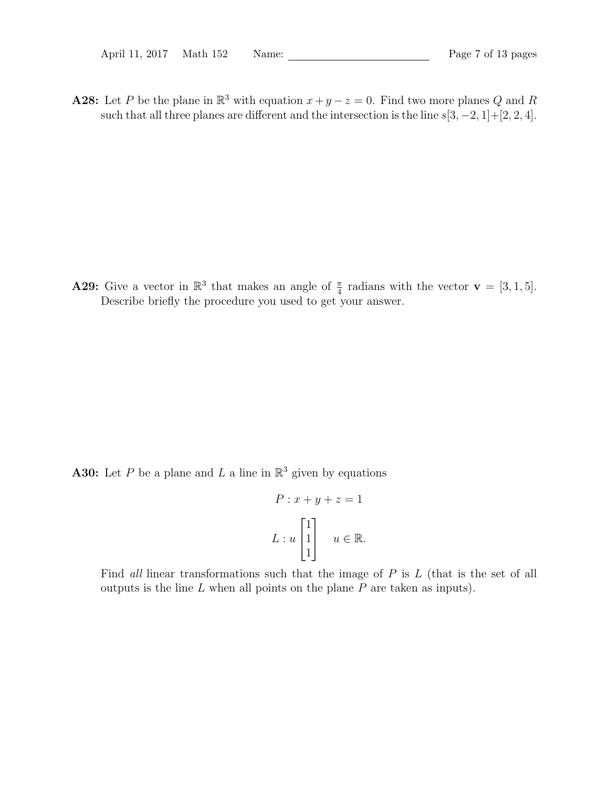**A28:** Let P be the plane in  $\mathbb{R}^3$  with equation  $x + y - z = 0$ . Find two more planes Q and R such that all three planes are different and the intersection is the line  $s[3, -2, 1] + [2, 2, 4]$ .

**A29:** Give a vector in  $\mathbb{R}^3$  that makes an angle of  $\frac{\pi}{4}$  radians with the vector  $\mathbf{v} = [3, 1, 5].$ Describe briefly the procedure you used to get your answer.

**A30:** Let P be a plane and L a line in  $\mathbb{R}^3$  given by equations

$$
P: x + y + z = 1
$$

$$
L: u \begin{bmatrix} 1 \\ 1 \\ 1 \end{bmatrix} \quad u \in \mathbb{R}.
$$

Find all linear transformations such that the image of  $P$  is  $L$  (that is the set of all outputs is the line  $L$  when all points on the plane  $P$  are taken as inputs).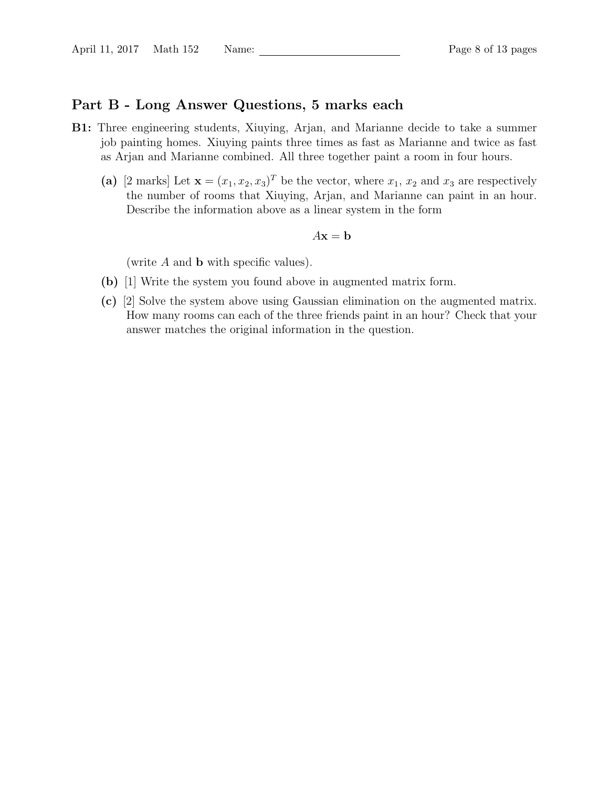## Part B - Long Answer Questions, 5 marks each

- B1: Three engineering students, Xiuying, Arjan, and Marianne decide to take a summer job painting homes. Xiuying paints three times as fast as Marianne and twice as fast as Arjan and Marianne combined. All three together paint a room in four hours.
	- (a) [2 marks] Let  $\mathbf{x} = (x_1, x_2, x_3)^T$  be the vector, where  $x_1, x_2$  and  $x_3$  are respectively the number of rooms that Xiuying, Arjan, and Marianne can paint in an hour. Describe the information above as a linear system in the form

$$
A\mathbf{x} = \mathbf{b}
$$

(write  $A$  and  $b$  with specific values).

- (b) [1] Write the system you found above in augmented matrix form.
- (c) [2] Solve the system above using Gaussian elimination on the augmented matrix. How many rooms can each of the three friends paint in an hour? Check that your answer matches the original information in the question.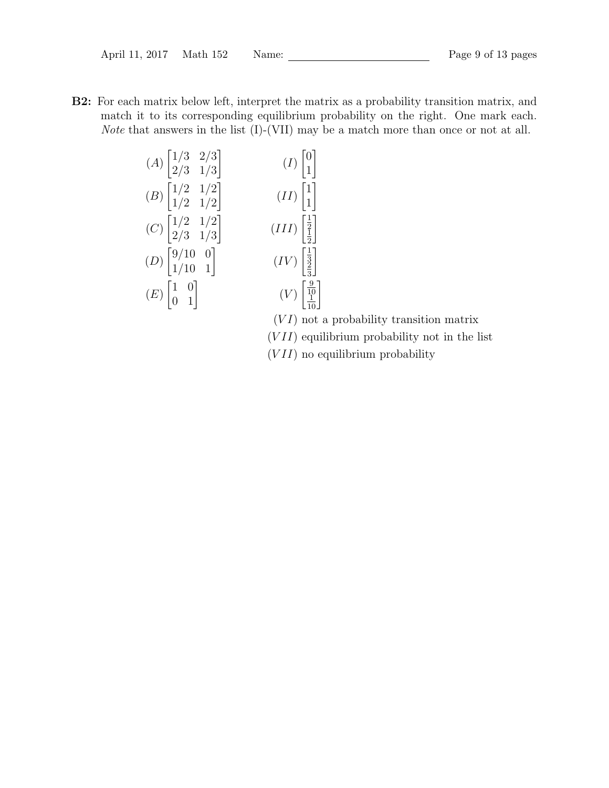B2: For each matrix below left, interpret the matrix as a probability transition matrix, and match it to its corresponding equilibrium probability on the right. One mark each. Note that answers in the list (I)-(VII) may be a match more than once or not at all.

$$
(A) \begin{bmatrix} 1/3 & 2/3 \\ 2/3 & 1/3 \end{bmatrix} \qquad (I) \begin{bmatrix} 0 \\ 1 \end{bmatrix}
$$
  
\n
$$
(B) \begin{bmatrix} 1/2 & 1/2 \\ 1/2 & 1/2 \end{bmatrix} \qquad (II) \begin{bmatrix} 1 \\ 1 \end{bmatrix}
$$
  
\n
$$
(C) \begin{bmatrix} 1/2 & 1/2 \\ 2/3 & 1/3 \end{bmatrix} \qquad (III) \begin{bmatrix} \frac{1}{2} \\ \frac{1}{2} \end{bmatrix}
$$
  
\n
$$
(D) \begin{bmatrix} 9/10 & 0 \\ 1/10 & 1 \end{bmatrix} \qquad (IV) \begin{bmatrix} \frac{1}{3} \\ \frac{3}{3} \end{bmatrix}
$$
  
\n
$$
(E) \begin{bmatrix} 1 & 0 \\ 0 & 1 \end{bmatrix} \qquad (V) \begin{bmatrix} \frac{9}{10} \\ \frac{10}{10} \end{bmatrix}
$$

 $(VI)$  not a probability transition matrix

- $(VII)$  equilibrium probability not in the list
- $(VII)$  no equilibrium probability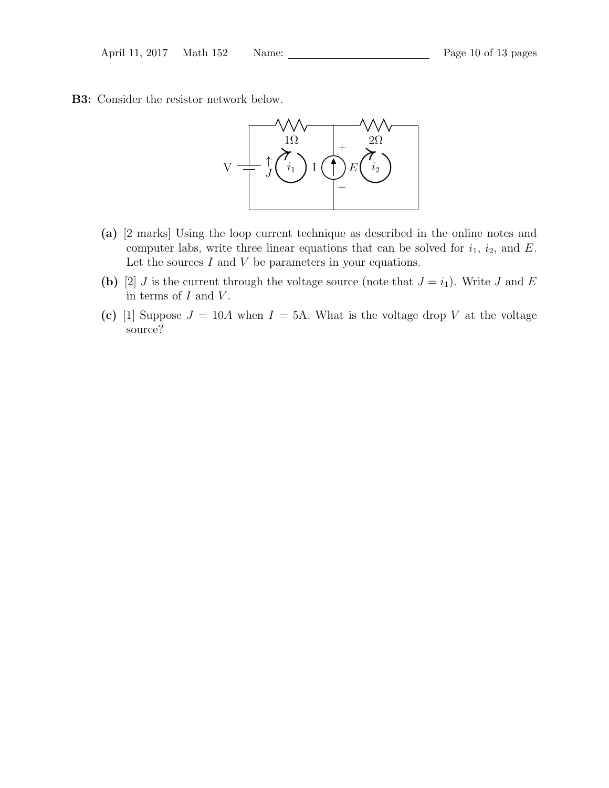B3: Consider the resistor network below.



- (a) [2 marks] Using the loop current technique as described in the online notes and computer labs, write three linear equations that can be solved for  $i_1$ ,  $i_2$ , and E. Let the sources  $I$  and  $V$  be parameters in your equations.
- (b) [2] *J* is the current through the voltage source (note that  $J = i_1$ ). Write *J* and *E* in terms of  $I$  and  $V$ .
- (c) [1] Suppose  $J = 10A$  when  $I = 5A$ . What is the voltage drop V at the voltage source?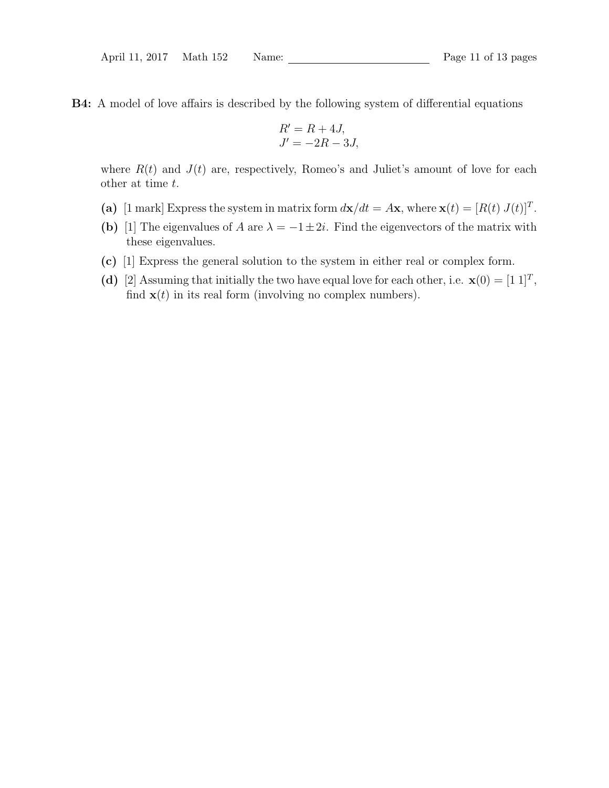B4: A model of love affairs is described by the following system of differential equations

$$
R' = R + 4J,
$$
  

$$
J' = -2R - 3J,
$$

where  $R(t)$  and  $J(t)$  are, respectively, Romeo's and Juliet's amount of love for each other at time t.

- (a) [1 mark] Express the system in matrix form  $d\mathbf{x}/dt = A\mathbf{x}$ , where  $\mathbf{x}(t) = [R(t) J(t)]^T$ .
- (b) [1] The eigenvalues of A are  $\lambda = -1 \pm 2i$ . Find the eigenvectors of the matrix with these eigenvalues.
- (c) [1] Express the general solution to the system in either real or complex form.
- (d) [2] Assuming that initially the two have equal love for each other, i.e.  $\mathbf{x}(0) = \begin{bmatrix} 1 & 1 \end{bmatrix}^T$ , find  $\mathbf{x}(t)$  in its real form (involving no complex numbers).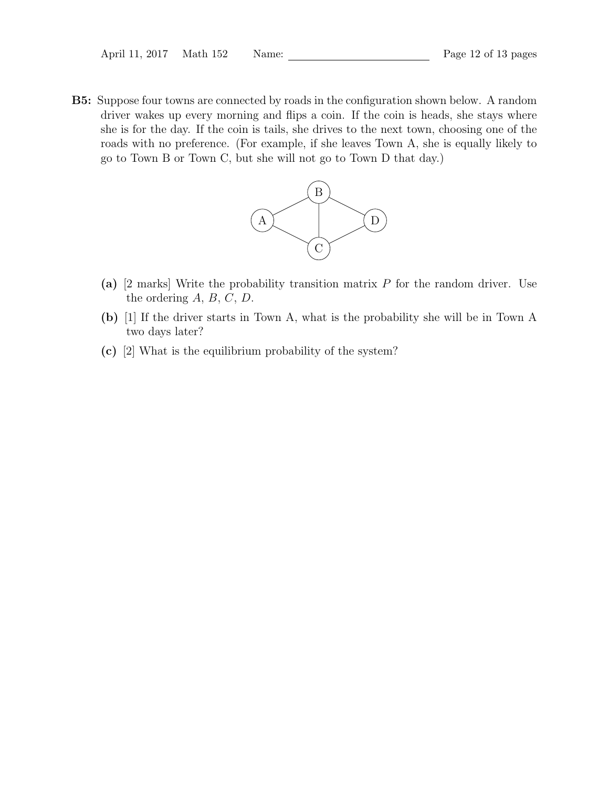B5: Suppose four towns are connected by roads in the configuration shown below. A random driver wakes up every morning and flips a coin. If the coin is heads, she stays where she is for the day. If the coin is tails, she drives to the next town, choosing one of the roads with no preference. (For example, if she leaves Town A, she is equally likely to go to Town B or Town C, but she will not go to Town D that day.)



- (a)  $[2 \text{ marks}]$  Write the probability transition matrix P for the random driver. Use the ordering  $A, B, C, D$ .
- (b) [1] If the driver starts in Town A, what is the probability she will be in Town A two days later?
- (c) [2] What is the equilibrium probability of the system?